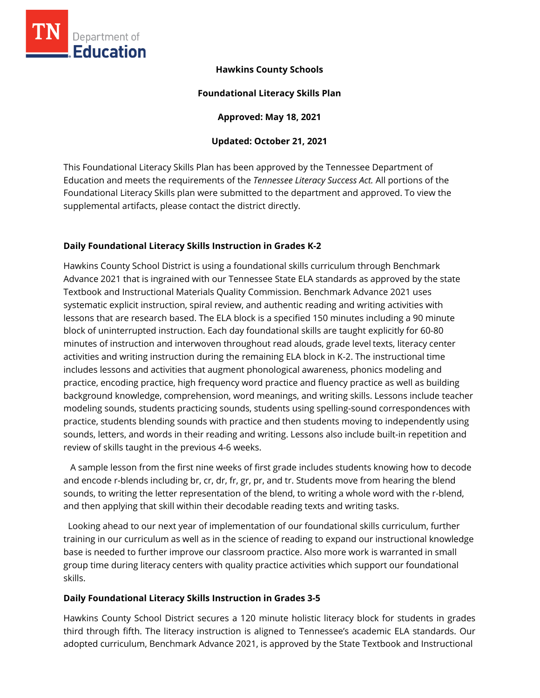

# **Hawkins County Schools**

## **Foundational Literacy Skills Plan**

**Approved: May 18, 2021** 

## **Updated: October 21, 2021**

This Foundational Literacy Skills Plan has been approved by the Tennessee Department of Education and meets the requirements of the *Tennessee Literacy Success Act.* All portions of the Foundational Literacy Skills plan were submitted to the department and approved. To view the supplemental artifacts, please contact the district directly.

## **Daily Foundational Literacy Skills Instruction in Grades K-2**

Hawkins County School District is using a foundational skills curriculum through Benchmark Advance 2021 that is ingrained with our Tennessee State ELA standards as approved by the state Textbook and Instructional Materials Quality Commission. Benchmark Advance 2021 uses systematic explicit instruction, spiral review, and authentic reading and writing activities with lessons that are research based. The ELA block is a specified 150 minutes including a 90 minute block of uninterrupted instruction. Each day foundational skills are taught explicitly for 60-80 minutes of instruction and interwoven throughout read alouds, grade level texts, literacy center activities and writing instruction during the remaining ELA block in K-2. The instructional time includes lessons and activities that augment phonological awareness, phonics modeling and practice, encoding practice, high frequency word practice and fluency practice as well as building background knowledge, comprehension, word meanings, and writing skills. Lessons include teacher modeling sounds, students practicing sounds, students using spelling-sound correspondences with practice, students blending sounds with practice and then students moving to independently using sounds, letters, and words in their reading and writing. Lessons also include built-in repetition and review of skills taught in the previous 4-6 weeks.

 A sample lesson from the first nine weeks of first grade includes students knowing how to decode and encode r-blends including br, cr, dr, fr, gr, pr, and tr. Students move from hearing the blend sounds, to writing the letter representation of the blend, to writing a whole word with the r-blend, and then applying that skill within their decodable reading texts and writing tasks.

 Looking ahead to our next year of implementation of our foundational skills curriculum, further training in our curriculum as well as in the science of reading to expand our instructional knowledge base is needed to further improve our classroom practice. Also more work is warranted in small group time during literacy centers with quality practice activities which support our foundational skills.

## **Daily Foundational Literacy Skills Instruction in Grades 3-5**

Hawkins County School District secures a 120 minute holistic literacy block for students in grades third through fifth. The literacy instruction is aligned to Tennessee's academic ELA standards. Our adopted curriculum, Benchmark Advance 2021, is approved by the State Textbook and Instructional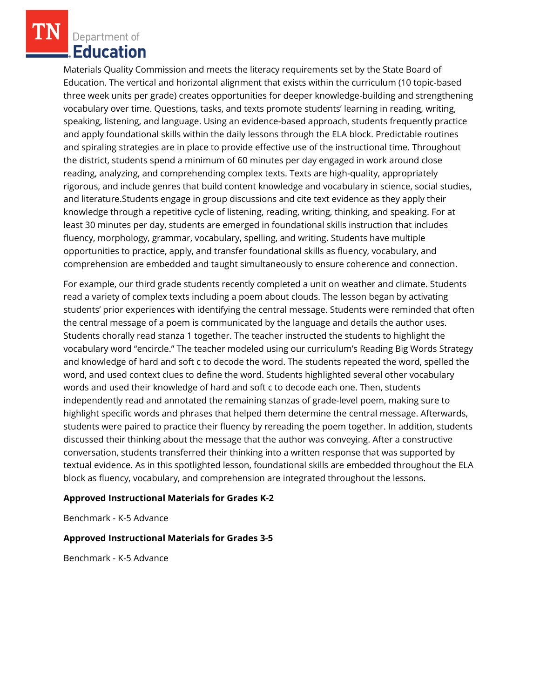Materials Quality Commission and meets the literacy requirements set by the State Board of Education. The vertical and horizontal alignment that exists within the curriculum (10 topic-based three week units per grade) creates opportunities for deeper knowledge-building and strengthening vocabulary over time. Questions, tasks, and texts promote students' learning in reading, writing, speaking, listening, and language. Using an evidence-based approach, students frequently practice and apply foundational skills within the daily lessons through the ELA block. Predictable routines and spiraling strategies are in place to provide effective use of the instructional time. Throughout the district, students spend a minimum of 60 minutes per day engaged in work around close reading, analyzing, and comprehending complex texts. Texts are high-quality, appropriately rigorous, and include genres that build content knowledge and vocabulary in science, social studies, and literature.Students engage in group discussions and cite text evidence as they apply their knowledge through a repetitive cycle of listening, reading, writing, thinking, and speaking. For at least 30 minutes per day, students are emerged in foundational skills instruction that includes fluency, morphology, grammar, vocabulary, spelling, and writing. Students have multiple opportunities to practice, apply, and transfer foundational skills as fluency, vocabulary, and comprehension are embedded and taught simultaneously to ensure coherence and connection.

For example, our third grade students recently completed a unit on weather and climate. Students read a variety of complex texts including a poem about clouds. The lesson began by activating students' prior experiences with identifying the central message. Students were reminded that often the central message of a poem is communicated by the language and details the author uses. Students chorally read stanza 1 together. The teacher instructed the students to highlight the vocabulary word "encircle." The teacher modeled using our curriculum's Reading Big Words Strategy and knowledge of hard and soft c to decode the word. The students repeated the word, spelled the word, and used context clues to define the word. Students highlighted several other vocabulary words and used their knowledge of hard and soft c to decode each one. Then, students independently read and annotated the remaining stanzas of grade-level poem, making sure to highlight specific words and phrases that helped them determine the central message. Afterwards, students were paired to practice their fluency by rereading the poem together. In addition, students discussed their thinking about the message that the author was conveying. After a constructive conversation, students transferred their thinking into a written response that was supported by textual evidence. As in this spotlighted lesson, foundational skills are embedded throughout the ELA block as fluency, vocabulary, and comprehension are integrated throughout the lessons.

#### **Approved Instructional Materials for Grades K-2**

Benchmark - K-5 Advance

#### **Approved Instructional Materials for Grades 3-5**

Benchmark - K-5 Advance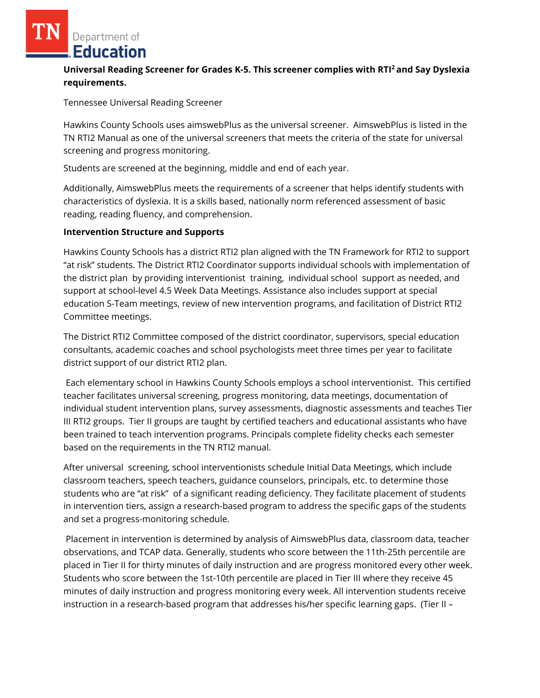# **Universal Reading Screener for Grades K-5. This screener complies with RTI<sup>2</sup>and Say Dyslexia requirements.**

Tennessee Universal Reading Screener

Hawkins County Schools uses aimswebPlus as the universal screener. AimswebPlus is listed in the TN RTI2 Manual as one of the universal screeners that meets the criteria of the state for universal screening and progress monitoring.

Students are screened at the beginning, middle and end of each year.

Additionally, AimswebPlus meets the requirements of a screener that helps identify students with characteristics of dyslexia. It is a skills based, nationally norm referenced assessment of basic reading, reading fluency, and comprehension.

### **Intervention Structure and Supports**

Hawkins County Schools has a district RTI2 plan aligned with the TN Framework for RTI2 to support "at risk" students. The District RTI2 Coordinator supports individual schools with implementation of the district plan by providing interventionist training, individual school support as needed, and support at school-level 4.5 Week Data Meetings. Assistance also includes support at special education S-Team meetings, review of new intervention programs, and facilitation of District RTI2 Committee meetings.

The District RTI2 Committee composed of the district coordinator, supervisors, special education consultants, academic coaches and school psychologists meet three times per year to facilitate district support of our district RTI2 plan.

Each elementary school in Hawkins County Schools employs a school interventionist. This certified teacher facilitates universal screening, progress monitoring, data meetings, documentation of individual student intervention plans, survey assessments, diagnostic assessments and teaches Tier III RTI2 groups. Tier II groups are taught by certified teachers and educational assistants who have been trained to teach intervention programs. Principals complete fidelity checks each semester based on the requirements in the TN RTI2 manual.

After universal screening, school interventionists schedule Initial Data Meetings, which include classroom teachers, speech teachers, guidance counselors, principals, etc. to determine those students who are "at risk" of a significant reading deficiency. They facilitate placement of students in intervention tiers, assign a research-based program to address the specific gaps of the students and set a progress-monitoring schedule.

Placement in intervention is determined by analysis of AimswebPlus data, classroom data, teacher observations, and TCAP data. Generally, students who score between the 11th-25th percentile are placed in Tier II for thirty minutes of daily instruction and are progress monitored every other week. Students who score between the 1st-10th percentile are placed in Tier III where they receive 45 minutes of daily instruction and progress monitoring every week. All intervention students receive instruction in a research-based program that addresses his/her specific learning gaps. (Tier II –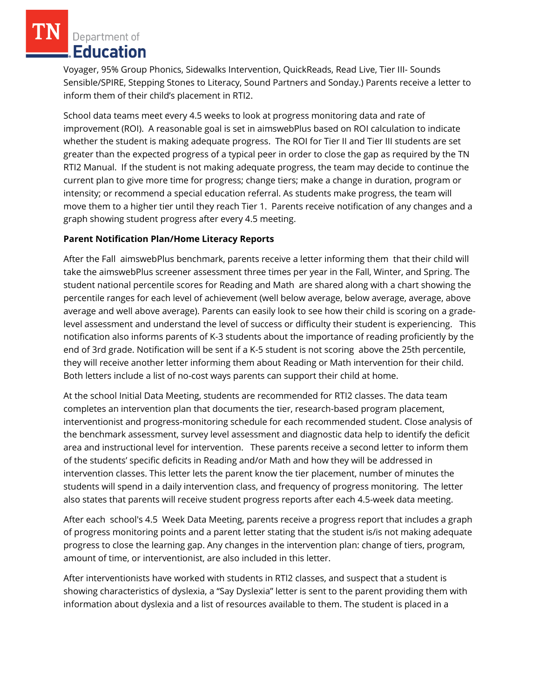Voyager, 95% Group Phonics, Sidewalks Intervention, QuickReads, Read Live, Tier III- Sounds Sensible/SPIRE, Stepping Stones to Literacy, Sound Partners and Sonday.) Parents receive a letter to inform them of their child's placement in RTI2.

School data teams meet every 4.5 weeks to look at progress monitoring data and rate of improvement (ROI). A reasonable goal is set in aimswebPlus based on ROI calculation to indicate whether the student is making adequate progress. The ROI for Tier II and Tier III students are set greater than the expected progress of a typical peer in order to close the gap as required by the TN RTI2 Manual. If the student is not making adequate progress, the team may decide to continue the current plan to give more time for progress; change tiers; make a change in duration, program or intensity; or recommend a special education referral. As students make progress, the team will move them to a higher tier until they reach Tier 1. Parents receive notification of any changes and a graph showing student progress after every 4.5 meeting.

## **Parent Notification Plan/Home Literacy Reports**

After the Fall aimswebPlus benchmark, parents receive a letter informing them that their child will take the aimswebPlus screener assessment three times per year in the Fall, Winter, and Spring. The student national percentile scores for Reading and Math are shared along with a chart showing the percentile ranges for each level of achievement (well below average, below average, average, above average and well above average). Parents can easily look to see how their child is scoring on a gradelevel assessment and understand the level of success or difficulty their student is experiencing. This notification also informs parents of K-3 students about the importance of reading proficiently by the end of 3rd grade. Notification will be sent if a K-5 student is not scoring above the 25th percentile, they will receive another letter informing them about Reading or Math intervention for their child. Both letters include a list of no-cost ways parents can support their child at home.

At the school Initial Data Meeting, students are recommended for RTI2 classes. The data team completes an intervention plan that documents the tier, research-based program placement, interventionist and progress-monitoring schedule for each recommended student. Close analysis of the benchmark assessment, survey level assessment and diagnostic data help to identify the deficit area and instructional level for intervention. These parents receive a second letter to inform them of the students' specific deficits in Reading and/or Math and how they will be addressed in intervention classes. This letter lets the parent know the tier placement, number of minutes the students will spend in a daily intervention class, and frequency of progress monitoring. The letter also states that parents will receive student progress reports after each 4.5-week data meeting.

After each school's 4.5 Week Data Meeting, parents receive a progress report that includes a graph of progress monitoring points and a parent letter stating that the student is/is not making adequate progress to close the learning gap. Any changes in the intervention plan: change of tiers, program, amount of time, or interventionist, are also included in this letter.

After interventionists have worked with students in RTI2 classes, and suspect that a student is showing characteristics of dyslexia, a "Say Dyslexia" letter is sent to the parent providing them with information about dyslexia and a list of resources available to them. The student is placed in a